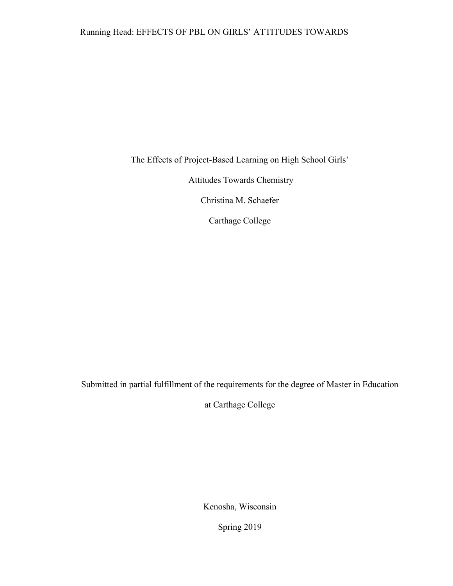The Effects of Project-Based Learning on High School Girls'

Attitudes Towards Chemistry

Christina M. Schaefer

Carthage College

Submitted in partial fulfillment of the requirements for the degree of Master in Education

at Carthage College

Kenosha, Wisconsin

Spring 2019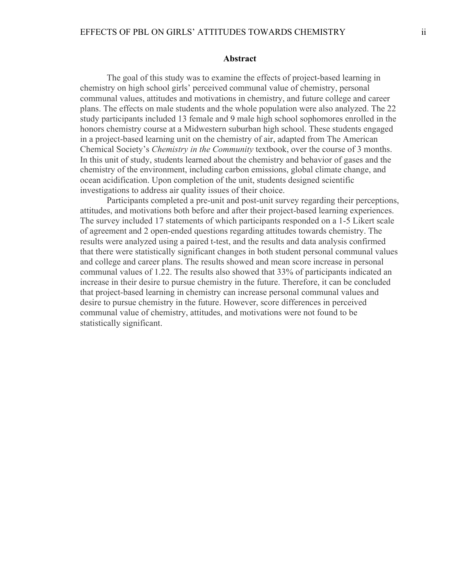#### **Abstract**

The goal of this study was to examine the effects of project-based learning in chemistry on high school girls' perceived communal value of chemistry, personal communal values, attitudes and motivations in chemistry, and future college and career plans. The effects on male students and the whole population were also analyzed. The 22 study participants included 13 female and 9 male high school sophomores enrolled in the honors chemistry course at a Midwestern suburban high school. These students engaged in a project-based learning unit on the chemistry of air, adapted from The American Chemical Society's *Chemistry in the Community* textbook, over the course of 3 months. In this unit of study, students learned about the chemistry and behavior of gases and the chemistry of the environment, including carbon emissions, global climate change, and ocean acidification. Upon completion of the unit, students designed scientific investigations to address air quality issues of their choice.

Participants completed a pre-unit and post-unit survey regarding their perceptions, attitudes, and motivations both before and after their project-based learning experiences. The survey included 17 statements of which participants responded on a 1-5 Likert scale of agreement and 2 open-ended questions regarding attitudes towards chemistry. The results were analyzed using a paired t-test, and the results and data analysis confirmed that there were statistically significant changes in both student personal communal values and college and career plans. The results showed and mean score increase in personal communal values of 1.22. The results also showed that 33% of participants indicated an increase in their desire to pursue chemistry in the future. Therefore, it can be concluded that project-based learning in chemistry can increase personal communal values and desire to pursue chemistry in the future. However, score differences in perceived communal value of chemistry, attitudes, and motivations were not found to be statistically significant.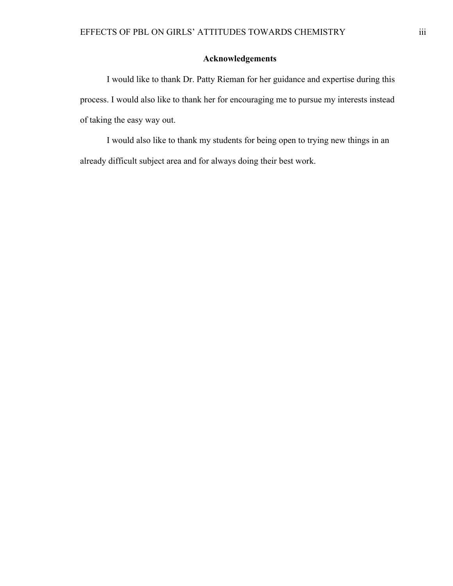# **Acknowledgements**

I would like to thank Dr. Patty Rieman for her guidance and expertise during this process. I would also like to thank her for encouraging me to pursue my interests instead of taking the easy way out.

I would also like to thank my students for being open to trying new things in an already difficult subject area and for always doing their best work.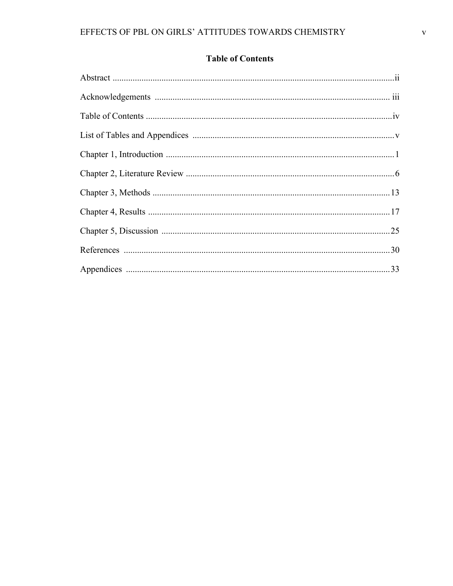# **Table of Contents**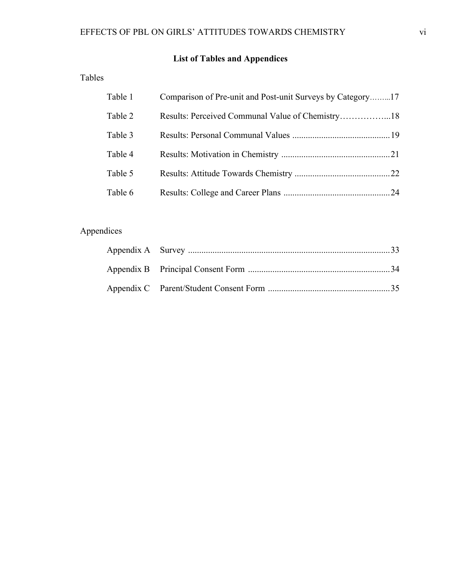# **List of Tables and Appendices**

Tables

| Table 1 | Comparison of Pre-unit and Post-unit Surveys by Category17 |  |
|---------|------------------------------------------------------------|--|
| Table 2 |                                                            |  |
| Table 3 |                                                            |  |
| Table 4 |                                                            |  |
| Table 5 |                                                            |  |
| Table 6 |                                                            |  |

# Appendices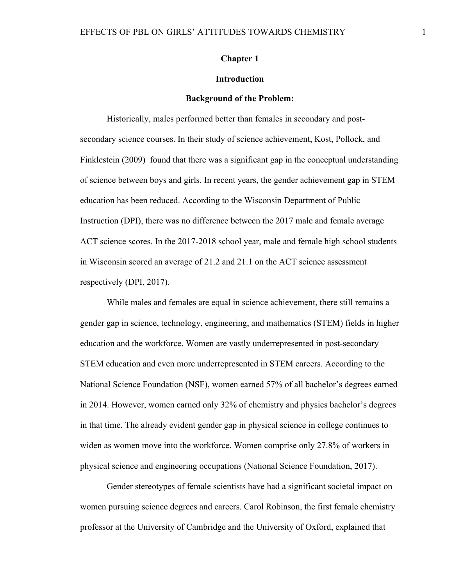#### **Chapter 1**

### **Introduction**

#### **Background of the Problem:**

Historically, males performed better than females in secondary and postsecondary science courses. In their study of science achievement, Kost, Pollock, and Finklestein (2009) found that there was a significant gap in the conceptual understanding of science between boys and girls. In recent years, the gender achievement gap in STEM education has been reduced. According to the Wisconsin Department of Public Instruction (DPI), there was no difference between the 2017 male and female average ACT science scores. In the 2017-2018 school year, male and female high school students in Wisconsin scored an average of 21.2 and 21.1 on the ACT science assessment respectively (DPI, 2017).

While males and females are equal in science achievement, there still remains a gender gap in science, technology, engineering, and mathematics (STEM) fields in higher education and the workforce. Women are vastly underrepresented in post-secondary STEM education and even more underrepresented in STEM careers. According to the National Science Foundation (NSF), women earned 57% of all bachelor's degrees earned in 2014. However, women earned only 32% of chemistry and physics bachelor's degrees in that time. The already evident gender gap in physical science in college continues to widen as women move into the workforce. Women comprise only 27.8% of workers in physical science and engineering occupations (National Science Foundation, 2017).

Gender stereotypes of female scientists have had a significant societal impact on women pursuing science degrees and careers. Carol Robinson, the first female chemistry professor at the University of Cambridge and the University of Oxford, explained that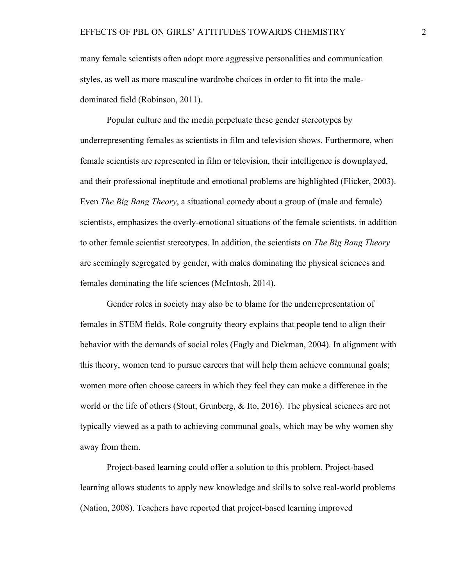many female scientists often adopt more aggressive personalities and communication styles, as well as more masculine wardrobe choices in order to fit into the maledominated field (Robinson, 2011).

Popular culture and the media perpetuate these gender stereotypes by underrepresenting females as scientists in film and television shows. Furthermore, when female scientists are represented in film or television, their intelligence is downplayed, and their professional ineptitude and emotional problems are highlighted (Flicker, 2003). Even *The Big Bang Theory*, a situational comedy about a group of (male and female) scientists, emphasizes the overly-emotional situations of the female scientists, in addition to other female scientist stereotypes. In addition, the scientists on *The Big Bang Theory* are seemingly segregated by gender, with males dominating the physical sciences and females dominating the life sciences (McIntosh, 2014).

Gender roles in society may also be to blame for the underrepresentation of females in STEM fields. Role congruity theory explains that people tend to align their behavior with the demands of social roles (Eagly and Diekman, 2004). In alignment with this theory, women tend to pursue careers that will help them achieve communal goals; women more often choose careers in which they feel they can make a difference in the world or the life of others (Stout, Grunberg, & Ito, 2016). The physical sciences are not typically viewed as a path to achieving communal goals, which may be why women shy away from them.

Project-based learning could offer a solution to this problem. Project-based learning allows students to apply new knowledge and skills to solve real-world problems (Nation, 2008). Teachers have reported that project-based learning improved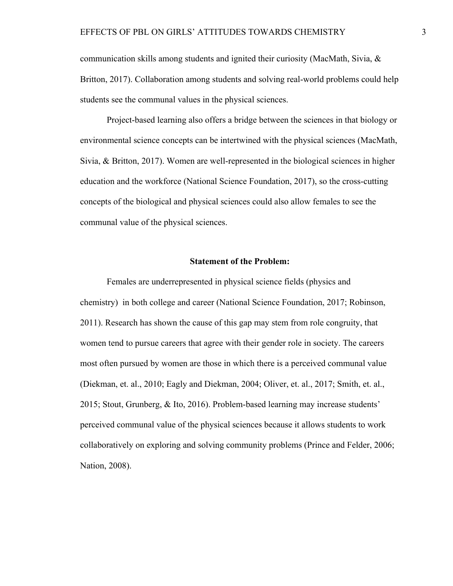communication skills among students and ignited their curiosity (MacMath, Sivia, & Britton, 2017). Collaboration among students and solving real-world problems could help students see the communal values in the physical sciences.

Project-based learning also offers a bridge between the sciences in that biology or environmental science concepts can be intertwined with the physical sciences (MacMath, Sivia, & Britton, 2017). Women are well-represented in the biological sciences in higher education and the workforce (National Science Foundation, 2017), so the cross-cutting concepts of the biological and physical sciences could also allow females to see the communal value of the physical sciences.

#### **Statement of the Problem:**

Females are underrepresented in physical science fields (physics and chemistry) in both college and career (National Science Foundation, 2017; Robinson, 2011). Research has shown the cause of this gap may stem from role congruity, that women tend to pursue careers that agree with their gender role in society. The careers most often pursued by women are those in which there is a perceived communal value (Diekman, et. al., 2010; Eagly and Diekman, 2004; Oliver, et. al., 2017; Smith, et. al., 2015; Stout, Grunberg, & Ito, 2016). Problem-based learning may increase students' perceived communal value of the physical sciences because it allows students to work collaboratively on exploring and solving community problems (Prince and Felder, 2006; Nation, 2008).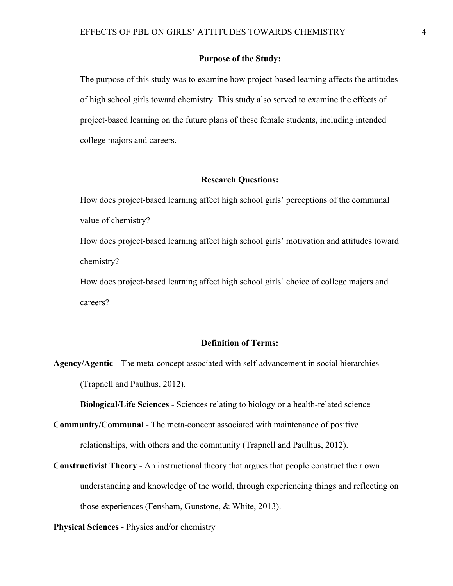#### **Purpose of the Study:**

The purpose of this study was to examine how project-based learning affects the attitudes of high school girls toward chemistry. This study also served to examine the effects of project-based learning on the future plans of these female students, including intended college majors and careers.

#### **Research Questions:**

How does project-based learning affect high school girls' perceptions of the communal value of chemistry?

How does project-based learning affect high school girls' motivation and attitudes toward chemistry?

How does project-based learning affect high school girls' choice of college majors and careers?

### **Definition of Terms:**

**Agency/Agentic** - The meta-concept associated with self-advancement in social hierarchies (Trapnell and Paulhus, 2012).

**Biological/Life Sciences** - Sciences relating to biology or a health-related science

**Community/Communal** - The meta-concept associated with maintenance of positive relationships, with others and the community (Trapnell and Paulhus, 2012).

**Constructivist Theory** - An instructional theory that argues that people construct their own understanding and knowledge of the world, through experiencing things and reflecting on those experiences (Fensham, Gunstone, & White, 2013).

**Physical Sciences** - Physics and/or chemistry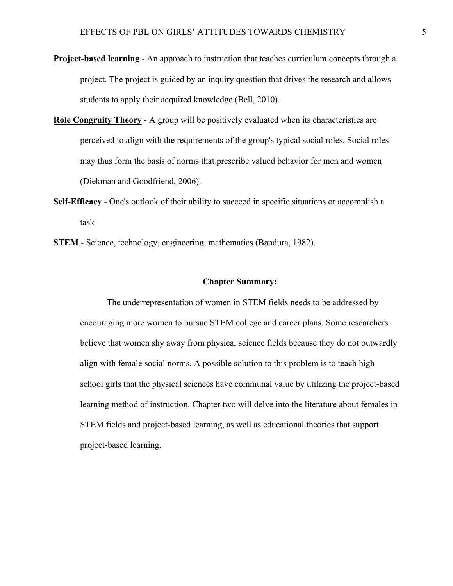- **Project-based learning** An approach to instruction that teaches curriculum concepts through a project. The project is guided by an inquiry question that drives the research and allows students to apply their acquired knowledge (Bell, 2010).
- **Role Congruity Theory** A group will be positively evaluated when its characteristics are perceived to align with the requirements of the group's typical social roles. Social roles may thus form the basis of norms that prescribe valued behavior for men and women (Diekman and Goodfriend, 2006).
- **Self-Efficacy** One's outlook of their ability to succeed in specific situations or accomplish a task
- **STEM** Science, technology, engineering, mathematics (Bandura, 1982).

#### **Chapter Summary:**

The underrepresentation of women in STEM fields needs to be addressed by encouraging more women to pursue STEM college and career plans. Some researchers believe that women shy away from physical science fields because they do not outwardly align with female social norms. A possible solution to this problem is to teach high school girls that the physical sciences have communal value by utilizing the project-based learning method of instruction. Chapter two will delve into the literature about females in STEM fields and project-based learning, as well as educational theories that support project-based learning.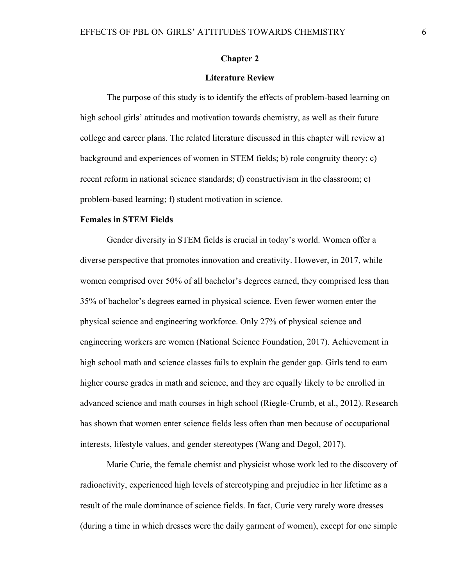#### **Chapter 2**

#### **Literature Review**

The purpose of this study is to identify the effects of problem-based learning on high school girls' attitudes and motivation towards chemistry, as well as their future college and career plans. The related literature discussed in this chapter will review a) background and experiences of women in STEM fields; b) role congruity theory; c) recent reform in national science standards; d) constructivism in the classroom; e) problem-based learning; f) student motivation in science.

### **Females in STEM Fields**

Gender diversity in STEM fields is crucial in today's world. Women offer a diverse perspective that promotes innovation and creativity. However, in 2017, while women comprised over 50% of all bachelor's degrees earned, they comprised less than 35% of bachelor's degrees earned in physical science. Even fewer women enter the physical science and engineering workforce. Only 27% of physical science and engineering workers are women (National Science Foundation, 2017). Achievement in high school math and science classes fails to explain the gender gap. Girls tend to earn higher course grades in math and science, and they are equally likely to be enrolled in advanced science and math courses in high school (Riegle-Crumb, et al., 2012). Research has shown that women enter science fields less often than men because of occupational interests, lifestyle values, and gender stereotypes (Wang and Degol, 2017).

Marie Curie, the female chemist and physicist whose work led to the discovery of radioactivity, experienced high levels of stereotyping and prejudice in her lifetime as a result of the male dominance of science fields. In fact, Curie very rarely wore dresses (during a time in which dresses were the daily garment of women), except for one simple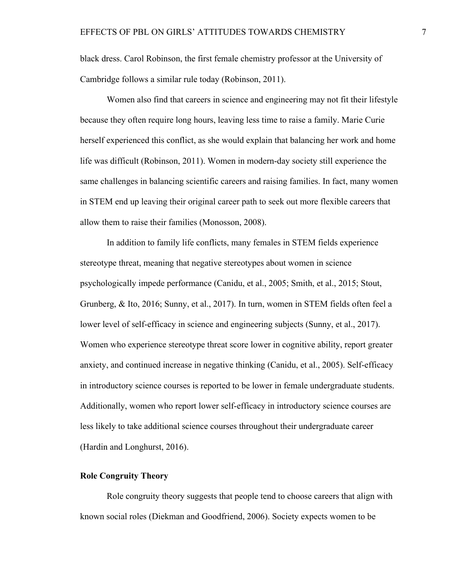black dress. Carol Robinson, the first female chemistry professor at the University of Cambridge follows a similar rule today (Robinson, 2011).

Women also find that careers in science and engineering may not fit their lifestyle because they often require long hours, leaving less time to raise a family. Marie Curie herself experienced this conflict, as she would explain that balancing her work and home life was difficult (Robinson, 2011). Women in modern-day society still experience the same challenges in balancing scientific careers and raising families. In fact, many women in STEM end up leaving their original career path to seek out more flexible careers that allow them to raise their families (Monosson, 2008).

In addition to family life conflicts, many females in STEM fields experience stereotype threat, meaning that negative stereotypes about women in science psychologically impede performance (Canidu, et al., 2005; Smith, et al., 2015; Stout, Grunberg, & Ito, 2016; Sunny, et al., 2017). In turn, women in STEM fields often feel a lower level of self-efficacy in science and engineering subjects (Sunny, et al., 2017). Women who experience stereotype threat score lower in cognitive ability, report greater anxiety, and continued increase in negative thinking (Canidu, et al., 2005). Self-efficacy in introductory science courses is reported to be lower in female undergraduate students. Additionally, women who report lower self-efficacy in introductory science courses are less likely to take additional science courses throughout their undergraduate career (Hardin and Longhurst, 2016).

### **Role Congruity Theory**

Role congruity theory suggests that people tend to choose careers that align with known social roles (Diekman and Goodfriend, 2006). Society expects women to be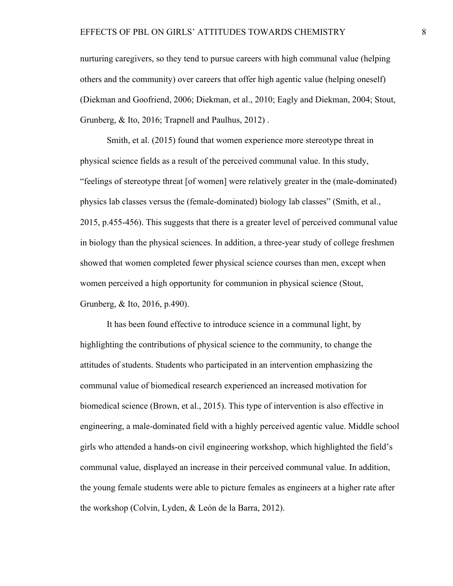nurturing caregivers, so they tend to pursue careers with high communal value (helping others and the community) over careers that offer high agentic value (helping oneself) (Diekman and Goofriend, 2006; Diekman, et al., 2010; Eagly and Diekman, 2004; Stout, Grunberg, & Ito, 2016; Trapnell and Paulhus, 2012) .

Smith, et al. (2015) found that women experience more stereotype threat in physical science fields as a result of the perceived communal value. In this study, "feelings of stereotype threat [of women] were relatively greater in the (male-dominated) physics lab classes versus the (female-dominated) biology lab classes" (Smith, et al., 2015, p.455-456). This suggests that there is a greater level of perceived communal value in biology than the physical sciences. In addition, a three-year study of college freshmen showed that women completed fewer physical science courses than men, except when women perceived a high opportunity for communion in physical science (Stout, Grunberg, & Ito, 2016, p.490).

It has been found effective to introduce science in a communal light, by highlighting the contributions of physical science to the community, to change the attitudes of students. Students who participated in an intervention emphasizing the communal value of biomedical research experienced an increased motivation for biomedical science (Brown, et al., 2015). This type of intervention is also effective in engineering, a male-dominated field with a highly perceived agentic value. Middle school girls who attended a hands-on civil engineering workshop, which highlighted the field's communal value, displayed an increase in their perceived communal value. In addition, the young female students were able to picture females as engineers at a higher rate after the workshop (Colvin, Lyden, & León de la Barra, 2012).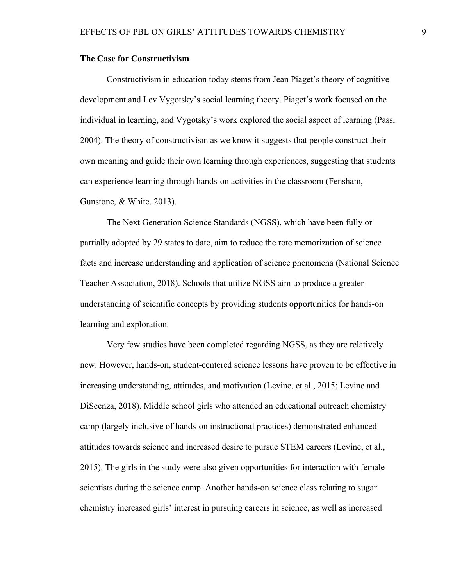### **The Case for Constructivism**

Constructivism in education today stems from Jean Piaget's theory of cognitive development and Lev Vygotsky's social learning theory. Piaget's work focused on the individual in learning, and Vygotsky's work explored the social aspect of learning (Pass, 2004). The theory of constructivism as we know it suggests that people construct their own meaning and guide their own learning through experiences, suggesting that students can experience learning through hands-on activities in the classroom (Fensham, Gunstone, & White, 2013).

The Next Generation Science Standards (NGSS), which have been fully or partially adopted by 29 states to date, aim to reduce the rote memorization of science facts and increase understanding and application of science phenomena (National Science Teacher Association, 2018). Schools that utilize NGSS aim to produce a greater understanding of scientific concepts by providing students opportunities for hands-on learning and exploration.

Very few studies have been completed regarding NGSS, as they are relatively new. However, hands-on, student-centered science lessons have proven to be effective in increasing understanding, attitudes, and motivation (Levine, et al., 2015; Levine and DiScenza, 2018). Middle school girls who attended an educational outreach chemistry camp (largely inclusive of hands-on instructional practices) demonstrated enhanced attitudes towards science and increased desire to pursue STEM careers (Levine, et al., 2015). The girls in the study were also given opportunities for interaction with female scientists during the science camp. Another hands-on science class relating to sugar chemistry increased girls' interest in pursuing careers in science, as well as increased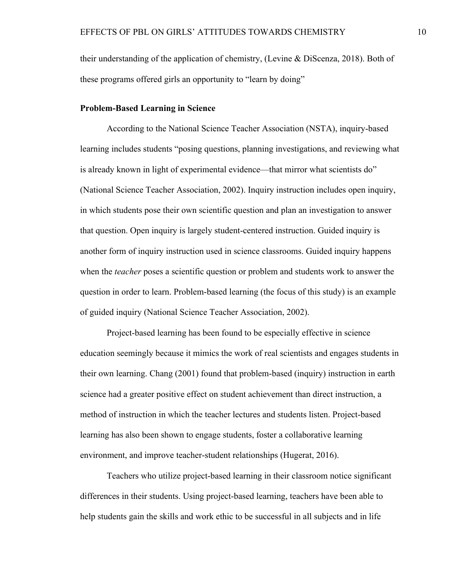their understanding of the application of chemistry, (Levine & DiScenza, 2018). Both of these programs offered girls an opportunity to "learn by doing"

#### **Problem-Based Learning in Science**

According to the National Science Teacher Association (NSTA), inquiry-based learning includes students "posing questions, planning investigations, and reviewing what is already known in light of experimental evidence—that mirror what scientists do" (National Science Teacher Association, 2002). Inquiry instruction includes open inquiry, in which students pose their own scientific question and plan an investigation to answer that question. Open inquiry is largely student-centered instruction. Guided inquiry is another form of inquiry instruction used in science classrooms. Guided inquiry happens when the *teacher* poses a scientific question or problem and students work to answer the question in order to learn. Problem-based learning (the focus of this study) is an example of guided inquiry (National Science Teacher Association, 2002).

Project-based learning has been found to be especially effective in science education seemingly because it mimics the work of real scientists and engages students in their own learning. Chang (2001) found that problem-based (inquiry) instruction in earth science had a greater positive effect on student achievement than direct instruction, a method of instruction in which the teacher lectures and students listen. Project-based learning has also been shown to engage students, foster a collaborative learning environment, and improve teacher-student relationships (Hugerat, 2016).

Teachers who utilize project-based learning in their classroom notice significant differences in their students. Using project-based learning, teachers have been able to help students gain the skills and work ethic to be successful in all subjects and in life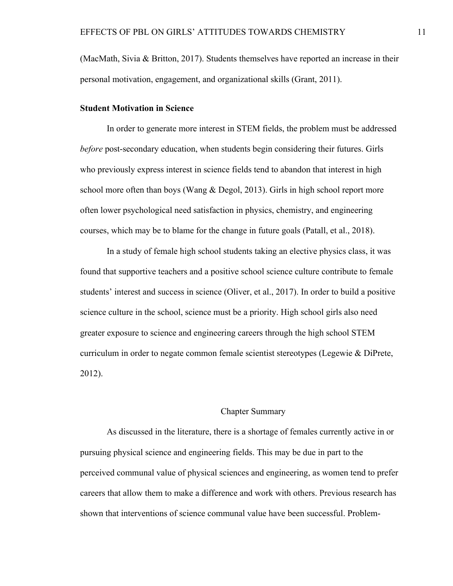(MacMath, Sivia & Britton, 2017). Students themselves have reported an increase in their personal motivation, engagement, and organizational skills (Grant, 2011).

#### **Student Motivation in Science**

In order to generate more interest in STEM fields, the problem must be addressed *before* post-secondary education, when students begin considering their futures. Girls who previously express interest in science fields tend to abandon that interest in high school more often than boys (Wang & Degol, 2013). Girls in high school report more often lower psychological need satisfaction in physics, chemistry, and engineering courses, which may be to blame for the change in future goals (Patall, et al., 2018).

In a study of female high school students taking an elective physics class, it was found that supportive teachers and a positive school science culture contribute to female students' interest and success in science (Oliver, et al., 2017). In order to build a positive science culture in the school, science must be a priority. High school girls also need greater exposure to science and engineering careers through the high school STEM curriculum in order to negate common female scientist stereotypes (Legewie & DiPrete, 2012).

### Chapter Summary

As discussed in the literature, there is a shortage of females currently active in or pursuing physical science and engineering fields. This may be due in part to the perceived communal value of physical sciences and engineering, as women tend to prefer careers that allow them to make a difference and work with others. Previous research has shown that interventions of science communal value have been successful. Problem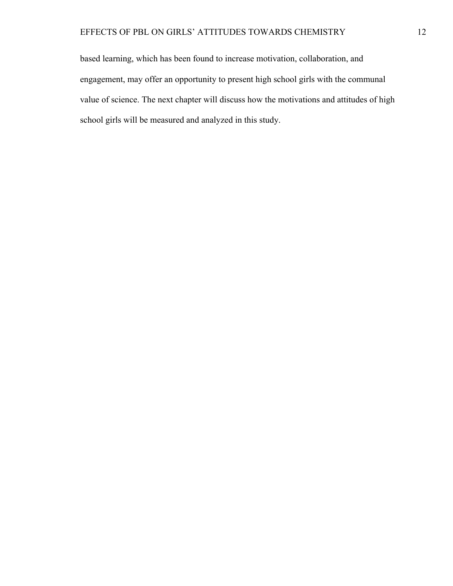based learning, which has been found to increase motivation, collaboration, and engagement, may offer an opportunity to present high school girls with the communal value of science. The next chapter will discuss how the motivations and attitudes of high school girls will be measured and analyzed in this study.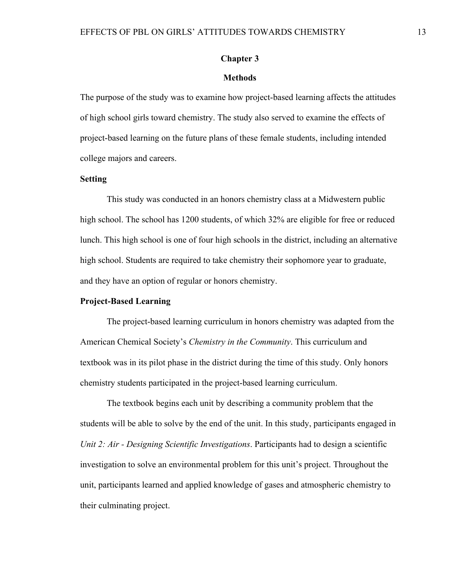#### **Chapter 3**

#### **Methods**

The purpose of the study was to examine how project-based learning affects the attitudes of high school girls toward chemistry. The study also served to examine the effects of project-based learning on the future plans of these female students, including intended college majors and careers.

### **Setting**

This study was conducted in an honors chemistry class at a Midwestern public high school. The school has 1200 students, of which 32% are eligible for free or reduced lunch. This high school is one of four high schools in the district, including an alternative high school. Students are required to take chemistry their sophomore year to graduate, and they have an option of regular or honors chemistry.

### **Project-Based Learning**

The project-based learning curriculum in honors chemistry was adapted from the American Chemical Society's *Chemistry in the Community*. This curriculum and textbook was in its pilot phase in the district during the time of this study. Only honors chemistry students participated in the project-based learning curriculum.

The textbook begins each unit by describing a community problem that the students will be able to solve by the end of the unit. In this study, participants engaged in *Unit 2: Air - Designing Scientific Investigations*. Participants had to design a scientific investigation to solve an environmental problem for this unit's project. Throughout the unit, participants learned and applied knowledge of gases and atmospheric chemistry to their culminating project.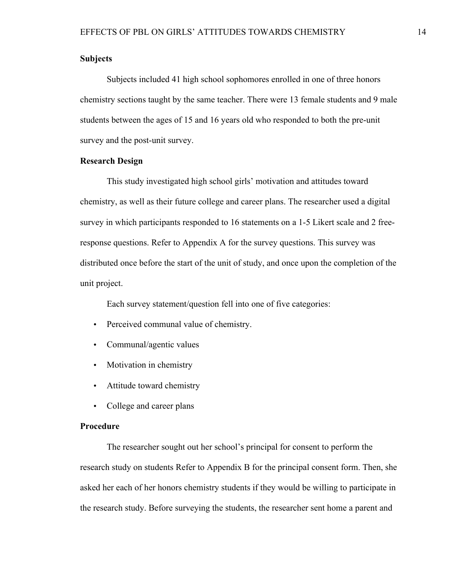### **Subjects**

Subjects included 41 high school sophomores enrolled in one of three honors chemistry sections taught by the same teacher. There were 13 female students and 9 male students between the ages of 15 and 16 years old who responded to both the pre-unit survey and the post-unit survey.

#### **Research Design**

This study investigated high school girls' motivation and attitudes toward chemistry, as well as their future college and career plans. The researcher used a digital survey in which participants responded to 16 statements on a 1-5 Likert scale and 2 freeresponse questions. Refer to Appendix A for the survey questions. This survey was distributed once before the start of the unit of study, and once upon the completion of the unit project.

Each survey statement/question fell into one of five categories:

- Perceived communal value of chemistry.
- Communal/agentic values
- Motivation in chemistry
- Attitude toward chemistry
- College and career plans

#### **Procedure**

The researcher sought out her school's principal for consent to perform the research study on students Refer to Appendix B for the principal consent form. Then, she asked her each of her honors chemistry students if they would be willing to participate in the research study. Before surveying the students, the researcher sent home a parent and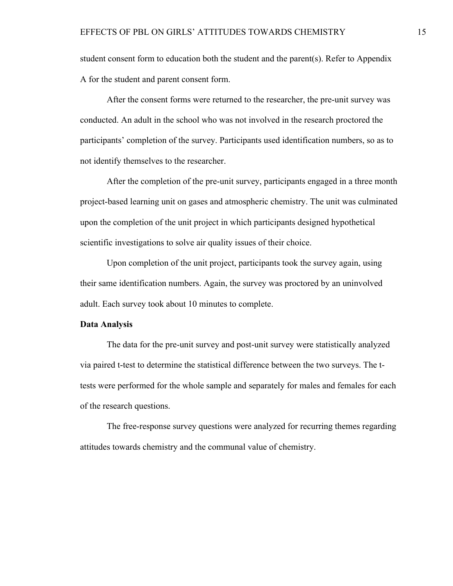student consent form to education both the student and the parent(s). Refer to Appendix A for the student and parent consent form.

After the consent forms were returned to the researcher, the pre-unit survey was conducted. An adult in the school who was not involved in the research proctored the participants' completion of the survey. Participants used identification numbers, so as to not identify themselves to the researcher.

After the completion of the pre-unit survey, participants engaged in a three month project-based learning unit on gases and atmospheric chemistry. The unit was culminated upon the completion of the unit project in which participants designed hypothetical scientific investigations to solve air quality issues of their choice.

Upon completion of the unit project, participants took the survey again, using their same identification numbers. Again, the survey was proctored by an uninvolved adult. Each survey took about 10 minutes to complete.

#### **Data Analysis**

The data for the pre-unit survey and post-unit survey were statistically analyzed via paired t-test to determine the statistical difference between the two surveys. The ttests were performed for the whole sample and separately for males and females for each of the research questions.

The free-response survey questions were analyzed for recurring themes regarding attitudes towards chemistry and the communal value of chemistry.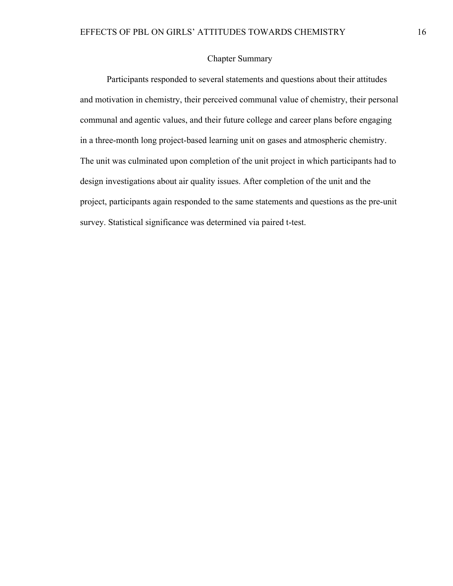## Chapter Summary

Participants responded to several statements and questions about their attitudes and motivation in chemistry, their perceived communal value of chemistry, their personal communal and agentic values, and their future college and career plans before engaging in a three-month long project-based learning unit on gases and atmospheric chemistry. The unit was culminated upon completion of the unit project in which participants had to design investigations about air quality issues. After completion of the unit and the project, participants again responded to the same statements and questions as the pre-unit survey. Statistical significance was determined via paired t-test.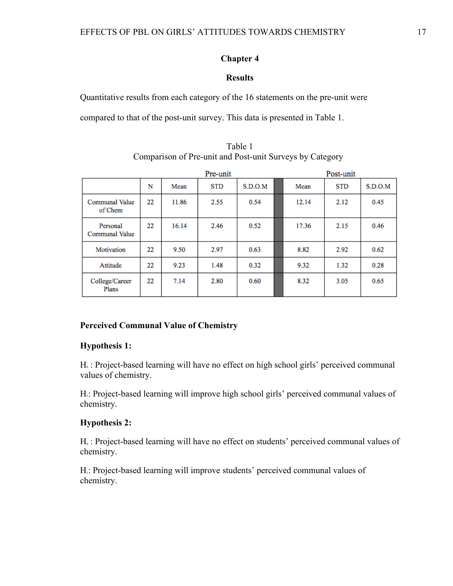### **Chapter 4**

### **Results**

Quantitative results from each category of the 16 statements on the pre-unit were

compared to that of the post-unit survey. This data is presented in Table 1.

|                                   |    |       | Post-unit  |         |       |            |         |
|-----------------------------------|----|-------|------------|---------|-------|------------|---------|
|                                   | N  | Mean  | <b>STD</b> | S.D.O.M | Mean  | <b>STD</b> | S.D.O.M |
| <b>Communal Value</b><br>of Chem  | 22 | 11.86 | 2.55       | 0.54    | 12.14 | 2.12       | 0.45    |
| Personal<br><b>Communal Value</b> | 22 | 16.14 | 2.46       | 0.52    | 17.36 | 2.15       | 0.46    |
| Motivation                        | 22 | 9.50  | 2.97       | 0.63    | 8.82  | 2.92       | 0.62    |
| Attitude                          | 22 | 9.23  | 1.48       | 0.32    | 9.32  | 1.32       | 0.28    |
| College/Career<br>Plans           | 22 | 7.14  | 2.80       | 0.60    | 8.32  | 3.05       | 0.65    |

Table 1 Comparison of Pre-unit and Post-unit Surveys by Category

# **Perceived Communal Value of Chemistry**

#### **Hypothesis 1:**

H<sub>0</sub>: Project-based learning will have no effect on high school girls' perceived communal values of chemistry.

H<sub>1</sub>: Project-based learning will improve high school girls' perceived communal values of chemistry.

### **Hypothesis 2:**

H<sub>0</sub> : Project-based learning will have no effect on students' perceived communal values of chemistry.

H<sub>1</sub>: Project-based learning will improve students' perceived communal values of chemistry.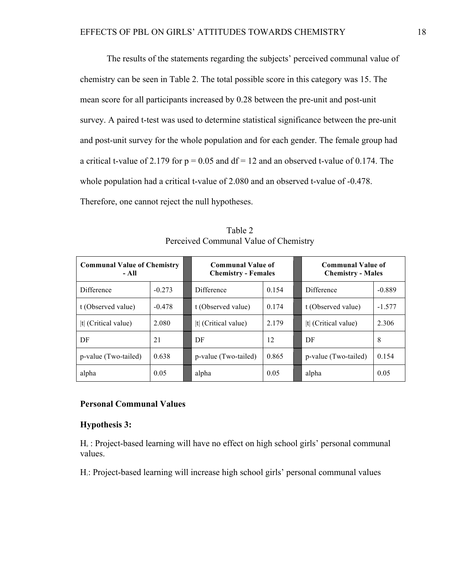The results of the statements regarding the subjects' perceived communal value of chemistry can be seen in Table 2. The total possible score in this category was 15. The mean score for all participants increased by 0.28 between the pre-unit and post-unit survey. A paired t-test was used to determine statistical significance between the pre-unit and post-unit survey for the whole population and for each gender. The female group had a critical t-value of 2.179 for  $p = 0.05$  and  $df = 12$  and an observed t-value of 0.174. The whole population had a critical t-value of 2.080 and an observed t-value of -0.478. Therefore, one cannot reject the null hypotheses.

| <b>Communal Value of Chemistry</b><br>- All |          | <b>Communal Value of</b><br><b>Chemistry - Females</b> |       | <b>Communal Value of</b><br><b>Chemistry - Males</b> |          |  |
|---------------------------------------------|----------|--------------------------------------------------------|-------|------------------------------------------------------|----------|--|
| Difference                                  | $-0.273$ | Difference                                             | 0.154 | Difference                                           | $-0.889$ |  |
| t (Observed value)                          | $-0.478$ | t (Observed value)                                     | 0.174 | t (Observed value)                                   | $-1.577$ |  |
| It (Critical value)                         | 2.080    | $ t $ (Critical value)                                 | 2.179 | t  (Critical value)                                  | 2.306    |  |
| DF                                          | 21       | DF                                                     | 12    | DF                                                   | 8        |  |
| p-value (Two-tailed)                        | 0.638    | p-value (Two-tailed)                                   | 0.865 | p-value (Two-tailed)                                 | 0.154    |  |
| alpha                                       | 0.05     | alpha                                                  | 0.05  | alpha                                                | 0.05     |  |

Table 2 Perceived Communal Value of Chemistry

# **Personal Communal Values**

#### **Hypothesis 3:**

H<sub>0</sub> : Project-based learning will have no effect on high school girls' personal communal values.

H<sub>1</sub>: Project-based learning will increase high school girls' personal communal values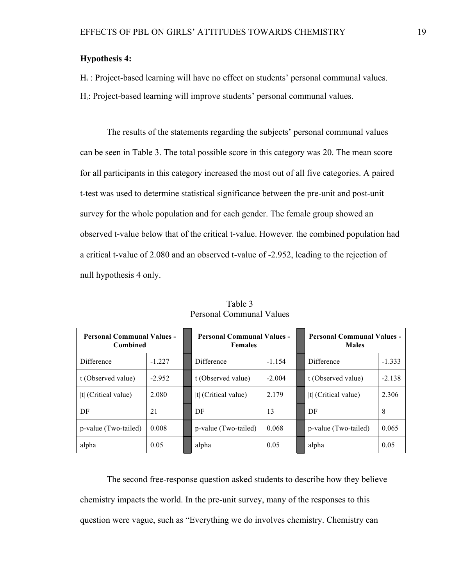# **Hypothesis 4:**

H<sub>0</sub>: Project-based learning will have no effect on students' personal communal values.

H<sub>1</sub>: Project-based learning will improve students' personal communal values.

The results of the statements regarding the subjects' personal communal values can be seen in Table 3. The total possible score in this category was 20. The mean score for all participants in this category increased the most out of all five categories. A paired t-test was used to determine statistical significance between the pre-unit and post-unit survey for the whole population and for each gender. The female group showed an observed t-value below that of the critical t-value. However. the combined population had a critical t-value of 2.080 and an observed t-value of -2.952, leading to the rejection of null hypothesis 4 only.

| <b>Personal Communal Values -</b><br><b>Combined</b> |          | <b>Personal Communal Values -</b><br><b>Females</b> |          |  | <b>Personal Communal Values -</b><br><b>Males</b> |          |  |
|------------------------------------------------------|----------|-----------------------------------------------------|----------|--|---------------------------------------------------|----------|--|
| Difference                                           | $-1227$  | Difference                                          | $-1.154$ |  | Difference                                        | $-1.333$ |  |
| t (Observed value)                                   | $-2.952$ | t (Observed value)                                  | $-2.004$ |  | t (Observed value)                                | $-2.138$ |  |
| $ t $ (Critical value)                               | 2.080    | (Critical value)<br>ltl                             | 2.179    |  | t  $(Critical value)$                             | 2.306    |  |
| DF                                                   | 21       | DF                                                  | 13       |  | DF                                                | 8        |  |
| p-value (Two-tailed)                                 | 0.008    | p-value (Two-tailed)                                | 0.068    |  | p-value (Two-tailed)                              | 0.065    |  |
| alpha                                                | 0.05     | alpha                                               | 0.05     |  | alpha                                             | 0.05     |  |

Table 3 Personal Communal Values

The second free-response question asked students to describe how they believe chemistry impacts the world. In the pre-unit survey, many of the responses to this question were vague, such as "Everything we do involves chemistry. Chemistry can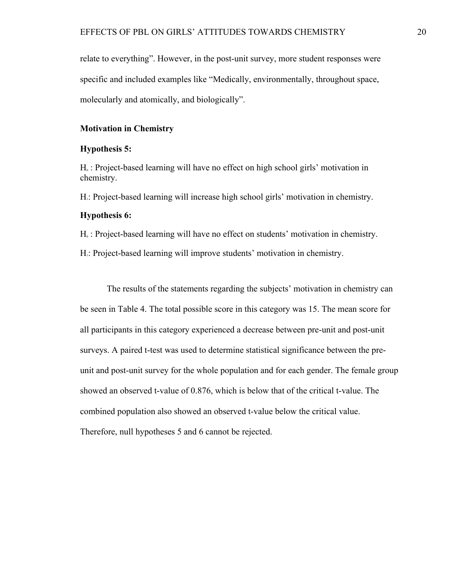relate to everything". However, in the post-unit survey, more student responses were specific and included examples like "Medically, environmentally, throughout space, molecularly and atomically, and biologically".

### **Motivation in Chemistry**

#### **Hypothesis 5:**

 $H<sub>0</sub>$ : Project-based learning will have no effect on high school girls' motivation in chemistry.

H1: Project-based learning will increase high school girls' motivation in chemistry.

#### **Hypothesis 6:**

 $H<sub>0</sub>$ : Project-based learning will have no effect on students' motivation in chemistry.

H<sub>1</sub>: Project-based learning will improve students' motivation in chemistry.

The results of the statements regarding the subjects' motivation in chemistry can be seen in Table 4. The total possible score in this category was 15. The mean score for all participants in this category experienced a decrease between pre-unit and post-unit surveys. A paired t-test was used to determine statistical significance between the preunit and post-unit survey for the whole population and for each gender. The female group showed an observed t-value of 0.876, which is below that of the critical t-value. The combined population also showed an observed t-value below the critical value. Therefore, null hypotheses 5 and 6 cannot be rejected.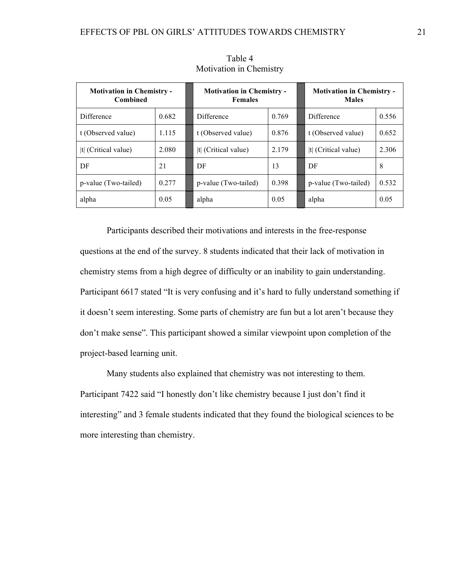| <b>Motivation in Chemistry -</b><br><b>Combined</b> |       | <b>Motivation in Chemistry -</b><br><b>Females</b> |       | <b>Motivation in Chemistry -</b><br><b>Males</b> |       |  |
|-----------------------------------------------------|-------|----------------------------------------------------|-------|--------------------------------------------------|-------|--|
| Difference                                          | 0.682 | <b>Difference</b>                                  | 0.769 | <b>Difference</b>                                | 0.556 |  |
| t (Observed value)                                  | 1.115 | t (Observed value)                                 | 0.876 | t (Observed value)                               | 0.652 |  |
| It (Critical value)                                 | 2.080 | It (Critical value)                                | 2.179 | It (Critical value)                              | 2.306 |  |
| DF                                                  | 21    | DF                                                 | 13    | DF                                               | 8     |  |
| p-value (Two-tailed)                                | 0.277 | p-value (Two-tailed)                               | 0.398 | p-value (Two-tailed)                             | 0.532 |  |
| alpha                                               | 0.05  | alpha                                              | 0.05  | alpha                                            | 0.05  |  |

Table 4 Motivation in Chemistry

Participants described their motivations and interests in the free-response questions at the end of the survey. 8 students indicated that their lack of motivation in chemistry stems from a high degree of difficulty or an inability to gain understanding. Participant 6617 stated "It is very confusing and it's hard to fully understand something if it doesn't seem interesting. Some parts of chemistry are fun but a lot aren't because they don't make sense". This participant showed a similar viewpoint upon completion of the project-based learning unit.

Many students also explained that chemistry was not interesting to them. Participant 7422 said "I honestly don't like chemistry because I just don't find it interesting" and 3 female students indicated that they found the biological sciences to be more interesting than chemistry.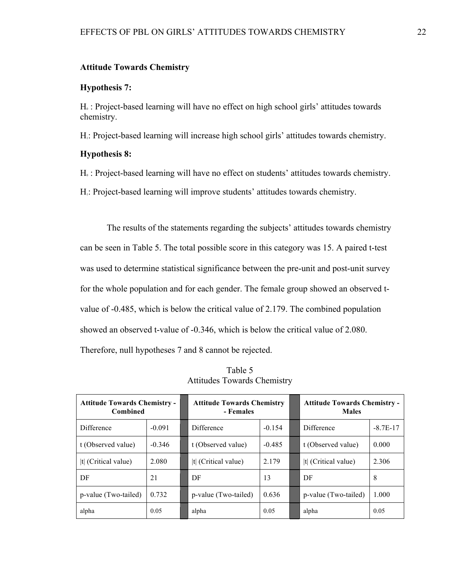#### **Attitude Towards Chemistry**

### **Hypothesis 7:**

 $H<sub>0</sub>$ : Project-based learning will have no effect on high school girls' attitudes towards chemistry.

H1: Project-based learning will increase high school girls' attitudes towards chemistry.

### **Hypothesis 8:**

H<sub>0</sub> : Project-based learning will have no effect on students' attitudes towards chemistry.

H1: Project-based learning will improve students' attitudes towards chemistry.

The results of the statements regarding the subjects' attitudes towards chemistry can be seen in Table 5. The total possible score in this category was 15. A paired t-test was used to determine statistical significance between the pre-unit and post-unit survey for the whole population and for each gender. The female group showed an observed tvalue of -0.485, which is below the critical value of 2.179. The combined population showed an observed t-value of -0.346, which is below the critical value of 2.080. Therefore, null hypotheses 7 and 8 cannot be rejected.

| Table 5 |                                    |
|---------|------------------------------------|
|         | <b>Attitudes Towards Chemistry</b> |

| <b>Attitude Towards Chemistry -</b><br><b>Combined</b> |          | <b>Attitude Towards Chemistry</b><br>- Females |          |  | <b>Attitude Towards Chemistry -</b><br><b>Males</b> |            |  |
|--------------------------------------------------------|----------|------------------------------------------------|----------|--|-----------------------------------------------------|------------|--|
| Difference                                             | $-0.091$ | Difference                                     | $-0.154$ |  | Difference                                          | $-8.7E-17$ |  |
| t (Observed value)                                     | $-0.346$ | t (Observed value)                             | $-0.485$ |  | t (Observed value)                                  | 0.000      |  |
| $ t $ (Critical value)                                 | 2.080    | $ t $ (Critical value)                         | 2 1 7 9  |  | $ t $ (Critical value)                              | 2.306      |  |
| DF                                                     | 21       | DF                                             | 13       |  | DF                                                  | 8          |  |
| p-value (Two-tailed)                                   | 0.732    | p-value (Two-tailed)                           | 0.636    |  | p-value (Two-tailed)                                | 1.000      |  |
| alpha                                                  | 0.05     | alpha                                          | 0.05     |  | alpha                                               | 0.05       |  |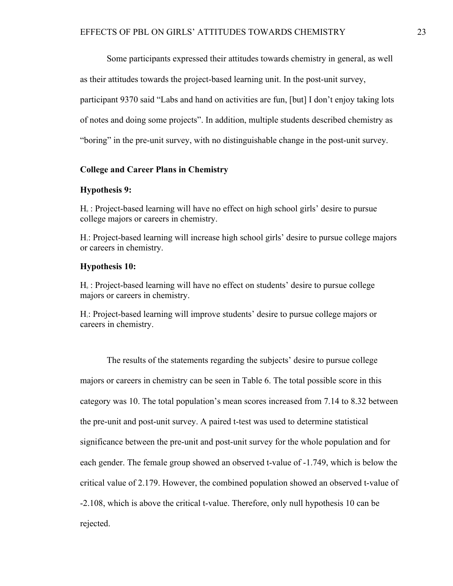Some participants expressed their attitudes towards chemistry in general, as well as their attitudes towards the project-based learning unit. In the post-unit survey, participant 9370 said "Labs and hand on activities are fun, [but] I don't enjoy taking lots of notes and doing some projects". In addition, multiple students described chemistry as "boring" in the pre-unit survey, with no distinguishable change in the post-unit survey.

#### **College and Career Plans in Chemistry**

#### **Hypothesis 9:**

 $H<sub>0</sub>$ : Project-based learning will have no effect on high school girls' desire to pursue college majors or careers in chemistry.

H1: Project-based learning will increase high school girls' desire to pursue college majors or careers in chemistry.

### **Hypothesis 10:**

 $H<sub>0</sub>$ : Project-based learning will have no effect on students' desire to pursue college majors or careers in chemistry.

H1: Project-based learning will improve students' desire to pursue college majors or careers in chemistry.

The results of the statements regarding the subjects' desire to pursue college majors or careers in chemistry can be seen in Table 6. The total possible score in this category was 10. The total population's mean scores increased from 7.14 to 8.32 between the pre-unit and post-unit survey. A paired t-test was used to determine statistical significance between the pre-unit and post-unit survey for the whole population and for each gender. The female group showed an observed t-value of -1.749, which is below the critical value of 2.179. However, the combined population showed an observed t-value of -2.108, which is above the critical t-value. Therefore, only null hypothesis 10 can be rejected.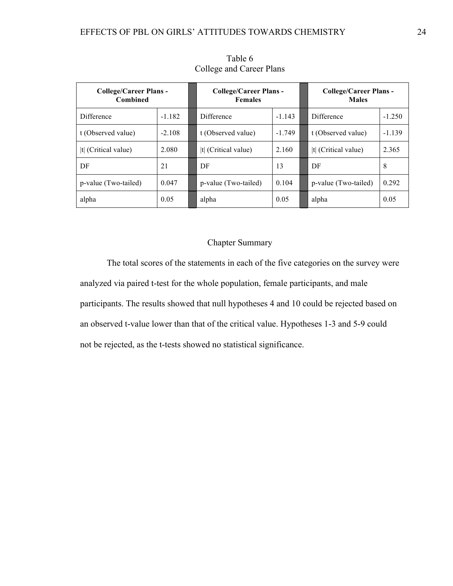| <b>College/Career Plans -</b><br><b>Combined</b> |          | College/Career Plans -<br><b>Females</b> |       | College/Career Plans -<br><b>Males</b> |          |  |
|--------------------------------------------------|----------|------------------------------------------|-------|----------------------------------------|----------|--|
| Difference                                       | $-1.182$ | Difference<br>$-1.143$                   |       | Difference                             | $-1.250$ |  |
| t (Observed value)                               | $-2.108$ | t (Observed value)<br>$-1.749$           |       | t (Observed value)                     | $-1.139$ |  |
| t  (Critical value)                              | 2.080    | t  $(Critical value)$                    | 2.160 | $ t $ (Critical value)                 | 2.365    |  |
| DF                                               | 21       | DF                                       | 13    | DF                                     | 8        |  |
| p-value (Two-tailed)                             | 0.047    | 0.104<br>p-value (Two-tailed)            |       | p-value (Two-tailed)                   | 0.292    |  |
| alpha                                            | 0.05     | alpha                                    | 0.05  | alpha                                  | 0.05     |  |

Table 6 College and Career Plans

# Chapter Summary

The total scores of the statements in each of the five categories on the survey were analyzed via paired t-test for the whole population, female participants, and male participants. The results showed that null hypotheses 4 and 10 could be rejected based on an observed t-value lower than that of the critical value. Hypotheses 1-3 and 5-9 could not be rejected, as the t-tests showed no statistical significance.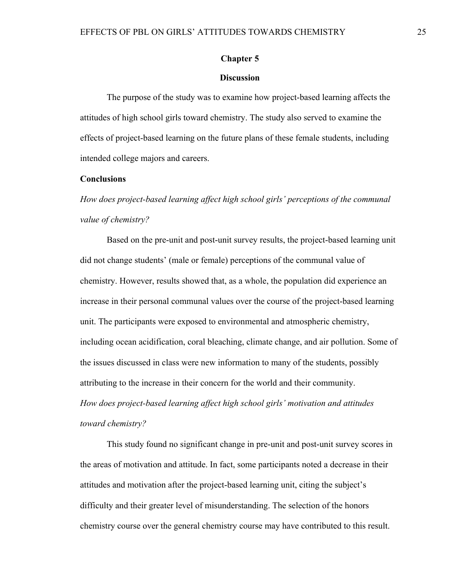#### **Chapter 5**

### **Discussion**

The purpose of the study was to examine how project-based learning affects the attitudes of high school girls toward chemistry. The study also served to examine the effects of project-based learning on the future plans of these female students, including intended college majors and careers.

#### **Conclusions**

*How does project-based learning affect high school girls' perceptions of the communal value of chemistry?*

Based on the pre-unit and post-unit survey results, the project-based learning unit did not change students' (male or female) perceptions of the communal value of chemistry. However, results showed that, as a whole, the population did experience an increase in their personal communal values over the course of the project-based learning unit. The participants were exposed to environmental and atmospheric chemistry, including ocean acidification, coral bleaching, climate change, and air pollution. Some of the issues discussed in class were new information to many of the students, possibly attributing to the increase in their concern for the world and their community. *How does project-based learning affect high school girls' motivation and attitudes toward chemistry?*

This study found no significant change in pre-unit and post-unit survey scores in the areas of motivation and attitude. In fact, some participants noted a decrease in their attitudes and motivation after the project-based learning unit, citing the subject's difficulty and their greater level of misunderstanding. The selection of the honors chemistry course over the general chemistry course may have contributed to this result.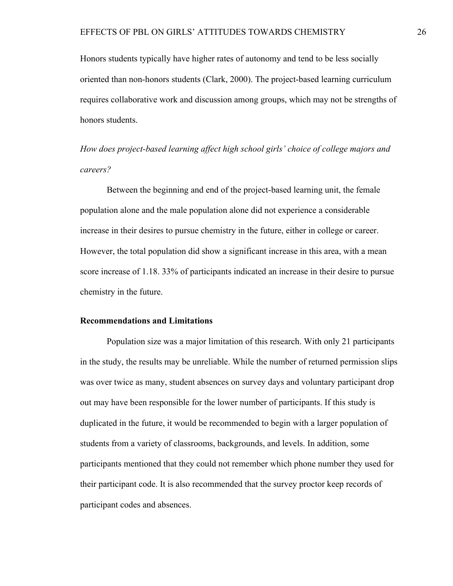Honors students typically have higher rates of autonomy and tend to be less socially oriented than non-honors students (Clark, 2000). The project-based learning curriculum requires collaborative work and discussion among groups, which may not be strengths of honors students.

*How does project-based learning affect high school girls' choice of college majors and careers?*

Between the beginning and end of the project-based learning unit, the female population alone and the male population alone did not experience a considerable increase in their desires to pursue chemistry in the future, either in college or career. However, the total population did show a significant increase in this area, with a mean score increase of 1.18. 33% of participants indicated an increase in their desire to pursue chemistry in the future.

#### **Recommendations and Limitations**

Population size was a major limitation of this research. With only 21 participants in the study, the results may be unreliable. While the number of returned permission slips was over twice as many, student absences on survey days and voluntary participant drop out may have been responsible for the lower number of participants. If this study is duplicated in the future, it would be recommended to begin with a larger population of students from a variety of classrooms, backgrounds, and levels. In addition, some participants mentioned that they could not remember which phone number they used for their participant code. It is also recommended that the survey proctor keep records of participant codes and absences.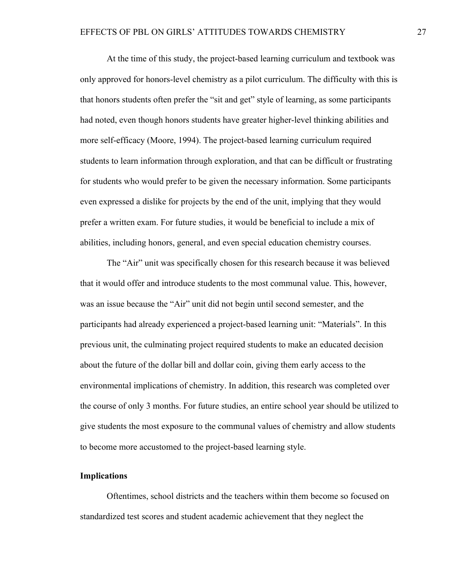At the time of this study, the project-based learning curriculum and textbook was only approved for honors-level chemistry as a pilot curriculum. The difficulty with this is that honors students often prefer the "sit and get" style of learning, as some participants had noted, even though honors students have greater higher-level thinking abilities and more self-efficacy (Moore, 1994). The project-based learning curriculum required students to learn information through exploration, and that can be difficult or frustrating for students who would prefer to be given the necessary information. Some participants even expressed a dislike for projects by the end of the unit, implying that they would prefer a written exam. For future studies, it would be beneficial to include a mix of abilities, including honors, general, and even special education chemistry courses.

The "Air" unit was specifically chosen for this research because it was believed that it would offer and introduce students to the most communal value. This, however, was an issue because the "Air" unit did not begin until second semester, and the participants had already experienced a project-based learning unit: "Materials". In this previous unit, the culminating project required students to make an educated decision about the future of the dollar bill and dollar coin, giving them early access to the environmental implications of chemistry. In addition, this research was completed over the course of only 3 months. For future studies, an entire school year should be utilized to give students the most exposure to the communal values of chemistry and allow students to become more accustomed to the project-based learning style.

### **Implications**

Oftentimes, school districts and the teachers within them become so focused on standardized test scores and student academic achievement that they neglect the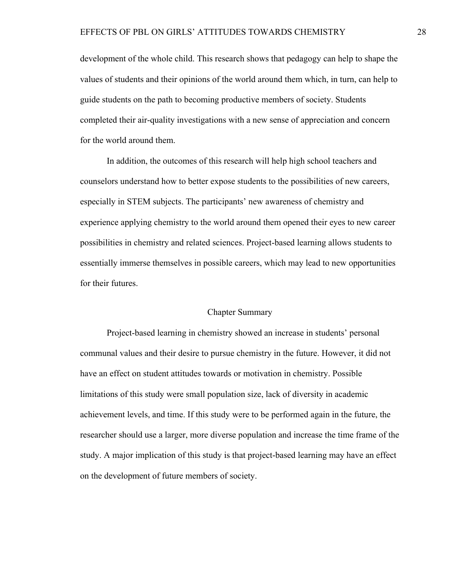development of the whole child. This research shows that pedagogy can help to shape the values of students and their opinions of the world around them which, in turn, can help to guide students on the path to becoming productive members of society. Students completed their air-quality investigations with a new sense of appreciation and concern for the world around them.

In addition, the outcomes of this research will help high school teachers and counselors understand how to better expose students to the possibilities of new careers, especially in STEM subjects. The participants' new awareness of chemistry and experience applying chemistry to the world around them opened their eyes to new career possibilities in chemistry and related sciences. Project-based learning allows students to essentially immerse themselves in possible careers, which may lead to new opportunities for their futures.

#### Chapter Summary

Project-based learning in chemistry showed an increase in students' personal communal values and their desire to pursue chemistry in the future. However, it did not have an effect on student attitudes towards or motivation in chemistry. Possible limitations of this study were small population size, lack of diversity in academic achievement levels, and time. If this study were to be performed again in the future, the researcher should use a larger, more diverse population and increase the time frame of the study. A major implication of this study is that project-based learning may have an effect on the development of future members of society.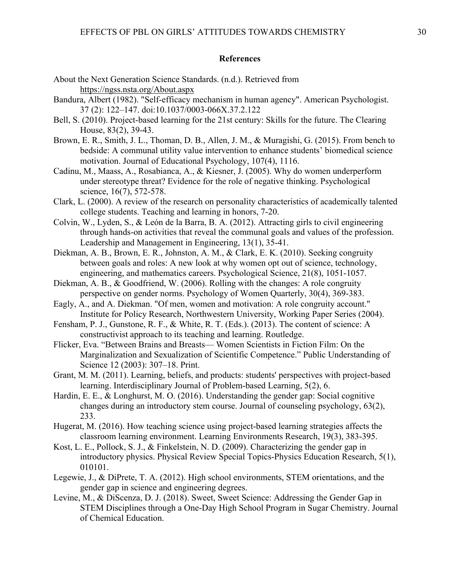### **References**

- About the Next Generation Science Standards. (n.d.). Retrieved from https://ngss.nsta.org/About.aspx
- Bandura, Albert (1982). "Self-efficacy mechanism in human agency". American Psychologist. 37 (2): 122–147. doi:10.1037/0003-066X.37.2.122
- Bell, S. (2010). Project-based learning for the 21st century: Skills for the future. The Clearing House, 83(2), 39-43.
- Brown, E. R., Smith, J. L., Thoman, D. B., Allen, J. M., & Muragishi, G. (2015). From bench to bedside: A communal utility value intervention to enhance students' biomedical science motivation. Journal of Educational Psychology, 107(4), 1116.
- Cadinu, M., Maass, A., Rosabianca, A., & Kiesner, J. (2005). Why do women underperform under stereotype threat? Evidence for the role of negative thinking. Psychological science, 16(7), 572-578.
- Clark, L. (2000). A review of the research on personality characteristics of academically talented college students. Teaching and learning in honors, 7-20.
- Colvin, W., Lyden, S., & León de la Barra, B. A. (2012). Attracting girls to civil engineering through hands-on activities that reveal the communal goals and values of the profession. Leadership and Management in Engineering, 13(1), 35-41.
- Diekman, A. B., Brown, E. R., Johnston, A. M., & Clark, E. K. (2010). Seeking congruity between goals and roles: A new look at why women opt out of science, technology, engineering, and mathematics careers. Psychological Science, 21(8), 1051-1057.
- Diekman, A. B., & Goodfriend, W. (2006). Rolling with the changes: A role congruity perspective on gender norms. Psychology of Women Quarterly, 30(4), 369-383.
- Eagly, A., and A. Diekman. "Of men, women and motivation: A role congruity account." Institute for Policy Research, Northwestern University, Working Paper Series (2004).
- Fensham, P. J., Gunstone, R. F., & White, R. T. (Eds.). (2013). The content of science: A constructivist approach to its teaching and learning. Routledge.
- Flicker, Eva. "Between Brains and Breasts— Women Scientists in Fiction Film: On the Marginalization and Sexualization of Scientific Competence." Public Understanding of Science 12 (2003): 307–18. Print.
- Grant, M. M. (2011). Learning, beliefs, and products: students' perspectives with project-based learning. Interdisciplinary Journal of Problem-based Learning, 5(2), 6.
- Hardin, E. E., & Longhurst, M. O. (2016). Understanding the gender gap: Social cognitive changes during an introductory stem course. Journal of counseling psychology, 63(2), 233.
- Hugerat, M. (2016). How teaching science using project-based learning strategies affects the classroom learning environment. Learning Environments Research, 19(3), 383-395.
- Kost, L. E., Pollock, S. J., & Finkelstein, N. D. (2009). Characterizing the gender gap in introductory physics. Physical Review Special Topics-Physics Education Research, 5(1), 010101.
- Legewie, J., & DiPrete, T. A. (2012). High school environments, STEM orientations, and the gender gap in science and engineering degrees.
- Levine, M., & DiScenza, D. J. (2018). Sweet, Sweet Science: Addressing the Gender Gap in STEM Disciplines through a One-Day High School Program in Sugar Chemistry. Journal of Chemical Education.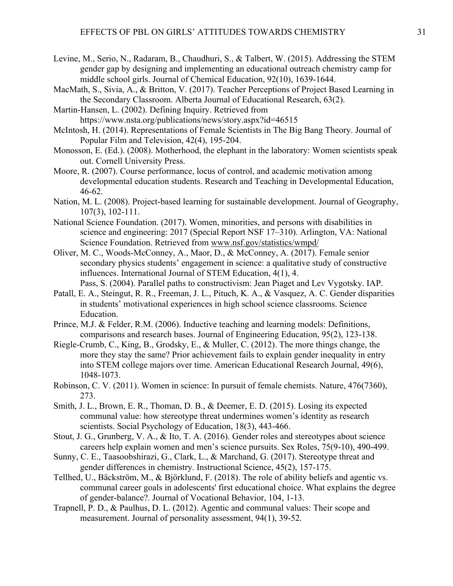- Levine, M., Serio, N., Radaram, B., Chaudhuri, S., & Talbert, W. (2015). Addressing the STEM gender gap by designing and implementing an educational outreach chemistry camp for middle school girls. Journal of Chemical Education, 92(10), 1639-1644.
- MacMath, S., Sivia, A., & Britton, V. (2017). Teacher Perceptions of Project Based Learning in the Secondary Classroom. Alberta Journal of Educational Research, 63(2).
- Martin-Hansen, L. (2002). Defining Inquiry. Retrieved from https://www.nsta.org/publications/news/story.aspx?id=46515
- McIntosh, H. (2014). Representations of Female Scientists in The Big Bang Theory. Journal of Popular Film and Television, 42(4), 195-204.
- Monosson, E. (Ed.). (2008). Motherhood, the elephant in the laboratory: Women scientists speak out. Cornell University Press.
- Moore, R. (2007). Course performance, locus of control, and academic motivation among developmental education students. Research and Teaching in Developmental Education, 46-62.
- Nation, M. L. (2008). Project-based learning for sustainable development. Journal of Geography, 107(3), 102-111.
- National Science Foundation. (2017). Women, minorities, and persons with disabilities in science and engineering: 2017 (Special Report NSF 17–310). Arlington, VA: National Science Foundation. Retrieved from www.nsf.gov/statistics/wmpd/
- Oliver, M. C., Woods-McConney, A., Maor, D., & McConney, A. (2017). Female senior secondary physics students' engagement in science: a qualitative study of constructive influences. International Journal of STEM Education, 4(1), 4. Pass, S. (2004). Parallel paths to constructivism: Jean Piaget and Lev Vygotsky. IAP.
- Patall, E. A., Steingut, R. R., Freeman, J. L., Pituch, K. A., & Vasquez, A. C. Gender disparities
	- in students' motivational experiences in high school science classrooms. Science Education.
- Prince, M.J. & Felder, R.M. (2006). Inductive teaching and learning models: Definitions, comparisons and research bases. Journal of Engineering Education, 95(2), 123-138.
- Riegle-Crumb, C., King, B., Grodsky, E., & Muller, C. (2012). The more things change, the more they stay the same? Prior achievement fails to explain gender inequality in entry into STEM college majors over time. American Educational Research Journal, 49(6), 1048-1073.
- Robinson, C. V. (2011). Women in science: In pursuit of female chemists. Nature, 476(7360), 273.
- Smith, J. L., Brown, E. R., Thoman, D. B., & Deemer, E. D. (2015). Losing its expected communal value: how stereotype threat undermines women's identity as research scientists. Social Psychology of Education, 18(3), 443-466.
- Stout, J. G., Grunberg, V. A., & Ito, T. A. (2016). Gender roles and stereotypes about science careers help explain women and men's science pursuits. Sex Roles, 75(9-10), 490-499.
- Sunny, C. E., Taasoobshirazi, G., Clark, L., & Marchand, G. (2017). Stereotype threat and gender differences in chemistry. Instructional Science, 45(2), 157-175.
- Tellhed, U., Bäckström, M., & Björklund, F. (2018). The role of ability beliefs and agentic vs. communal career goals in adolescents' first educational choice. What explains the degree of gender-balance?. Journal of Vocational Behavior, 104, 1-13.
- Trapnell, P. D., & Paulhus, D. L. (2012). Agentic and communal values: Their scope and measurement. Journal of personality assessment, 94(1), 39-52.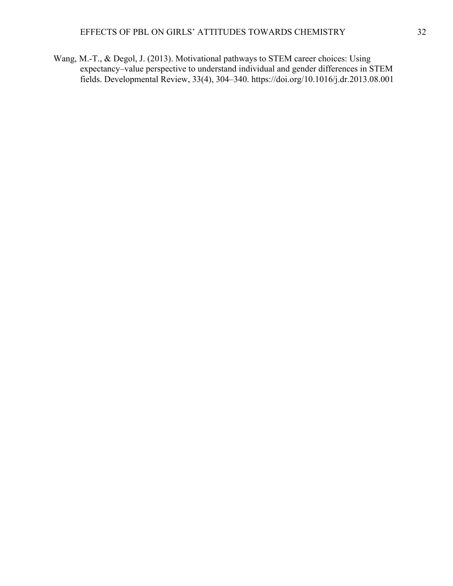Wang, M.-T., & Degol, J. (2013). Motivational pathways to STEM career choices: Using expectancy–value perspective to understand individual and gender differences in STEM fields. Developmental Review, 33(4), 304–340. https://doi.org/10.1016/j.dr.2013.08.001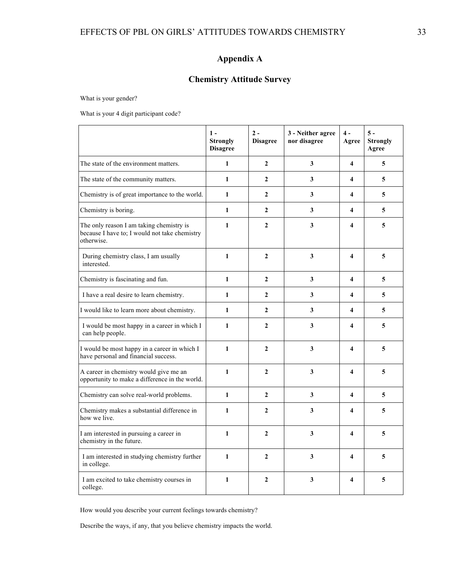# **Appendix A**

# **Chemistry Attitude Survey**

What is your gender?

What is your 4 digit participant code?

|                                                                                                         | $1 -$<br><b>Strongly</b><br><b>Disagree</b> | $2 -$<br><b>Disagree</b> | 3 - Neither agree<br>nor disagree | $4 -$<br>Agree          | $5 -$<br><b>Strongly</b><br>Agree |
|---------------------------------------------------------------------------------------------------------|---------------------------------------------|--------------------------|-----------------------------------|-------------------------|-----------------------------------|
| The state of the environment matters.                                                                   | $\mathbf{1}$                                | $\overline{2}$           | 3                                 | $\overline{\mathbf{4}}$ | 5                                 |
| The state of the community matters.                                                                     | 1                                           | $\overline{2}$           | 3                                 | $\overline{\mathbf{4}}$ | 5                                 |
| Chemistry is of great importance to the world.                                                          | $\mathbf{1}$                                | $\mathbf{2}$             | 3                                 | $\overline{\mathbf{4}}$ | 5                                 |
| Chemistry is boring.                                                                                    | 1                                           | $\overline{2}$           | 3                                 | 4                       | 5                                 |
| The only reason I am taking chemistry is<br>because I have to; I would not take chemistry<br>otherwise. | $\mathbf{1}$                                | $\overline{2}$           | 3                                 | $\overline{\mathbf{4}}$ | 5                                 |
| During chemistry class, I am usually<br>interested.                                                     | $\mathbf{1}$                                | $\overline{2}$           | 3                                 | $\overline{\mathbf{4}}$ | 5                                 |
| Chemistry is fascinating and fun.                                                                       | 1                                           | $\overline{2}$           | 3                                 | $\overline{\mathbf{4}}$ | 5                                 |
| I have a real desire to learn chemistry.                                                                | $\mathbf{1}$                                | $\overline{2}$           | 3                                 | $\overline{\mathbf{4}}$ | 5                                 |
| I would like to learn more about chemistry.                                                             | $\mathbf{1}$                                | $\overline{2}$           | 3                                 | $\overline{\mathbf{4}}$ | 5                                 |
| I would be most happy in a career in which I<br>can help people.                                        | $\mathbf{1}$                                | $\overline{2}$           | 3                                 | 4                       | 5                                 |
| I would be most happy in a career in which I<br>have personal and financial success.                    | $\mathbf{1}$                                | $\overline{2}$           | 3                                 | $\overline{\mathbf{4}}$ | 5                                 |
| A career in chemistry would give me an<br>opportunity to make a difference in the world.                | $\mathbf{1}$                                | $\mathbf{2}$             | 3                                 | $\overline{\mathbf{4}}$ | 5                                 |
| Chemistry can solve real-world problems.                                                                | $\mathbf{1}$                                | $\overline{2}$           | $\overline{\mathbf{3}}$           | $\overline{\mathbf{4}}$ | 5                                 |
| Chemistry makes a substantial difference in<br>how we live.                                             | $\mathbf{1}$                                | $\overline{2}$           | 3                                 | 4                       | 5                                 |
| I am interested in pursuing a career in<br>chemistry in the future.                                     | $\mathbf{1}$                                | $\overline{2}$           | 3                                 | $\overline{\mathbf{4}}$ | 5                                 |
| I am interested in studying chemistry further<br>in college.                                            | $\mathbf{1}$                                | $\overline{2}$           | 3                                 | $\overline{\mathbf{4}}$ | 5                                 |
| I am excited to take chemistry courses in<br>college.                                                   | $\mathbf{1}$                                | $\overline{2}$           | 3                                 | $\overline{\mathbf{4}}$ | 5                                 |

How would you describe your current feelings towards chemistry?

Describe the ways, if any, that you believe chemistry impacts the world.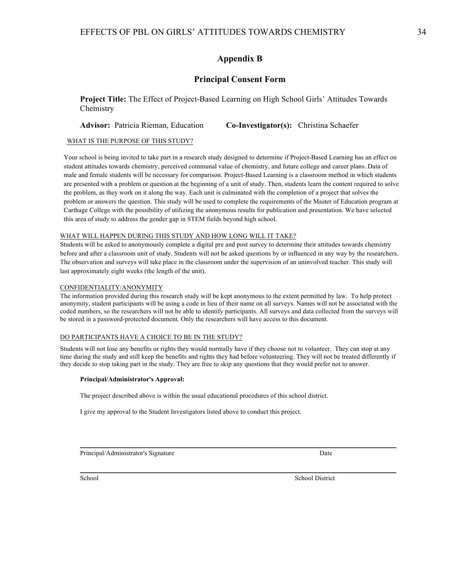# **Appendix B**

## **Principal Consent Form**

**Project Title:** The Effect of Project-Based Learning on High School Girls' Attitudes Towards **Chemistry** 

**Advisor:** Patricia Rieman, Education **Co-Investigator(s):** Christina Schaefer

#### WHAT IS THE PURPOSE OF THIS STUDY?

Your school is being invited to take part in a research study designed to determine if Project-Based Learning has an effect on student attitudes towards chemistry, perceived communal value of chemistry, and future college and career plans. Data of male and female students will be necessary for comparison. Project-Based Learning is a classroom method in which students are presented with a problem or question at the beginning of a unit of study. Then, students learn the content required to solve the problem, as they work on it along the way. Each unit is culminated with the completion of a project that solves the problem or answers the question. This study will be used to complete the requirements of the Master of Education program at Carthage College with the possibility of utilizing the anonymous results for publication and presentation. We have selected this area of study to address the gender gap in STEM fields beyond high school. 

#### WHAT WILL HAPPEN DURING THIS STUDY AND HOW LONG WILL IT TAKE?

Students will be asked to anonymously complete a digital pre and post survey to determine their attitudes towards chemistry before and after a classroom unit of study. Students will not be asked questions by or influenced in any way by the researchers. The observation and surveys will take place in the classroom under the supervision of an uninvolved teacher. This study will last approximately eight weeks (the length of the unit).

#### CONFIDENTIALITY/ANONYMITY

The information provided during this research study will be kept anonymous to the extent permitted by law. To help protect anonymity, student participants will be using a code in lieu of their name on all surveys. Names will not be associated with the coded numbers, so the researchers will not be able to identify participants. All surveys and data collected from the surveys will be stored in a password-protected document. Only the researchers will have access to this document.

#### DO PARTICIPANTS HAVE A CHOICE TO BE IN THE STUDY?

Students will not lose any benefits or rights they would normally have if they choose not to volunteer. They can stop at any time during the study and still keep the benefits and rights they had before volunteering. They will not be treated differently if they decide to stop taking part in the study. They are free to skip any questions that they would prefer not to answer.

 $\mathcal{L}_\mathcal{L} = \mathcal{L}_\mathcal{L}$ 

 $\mathcal{L}_\mathcal{L} = \mathcal{L}_\mathcal{L}$ 

#### **Principal/Administrator's Approval:**

The project described above is within the usual educational procedures of this school district.

I give my approval to the Student Investigators listed above to conduct this project.

Principal/Administrator's Signature Date Date Date Date Date

School District School District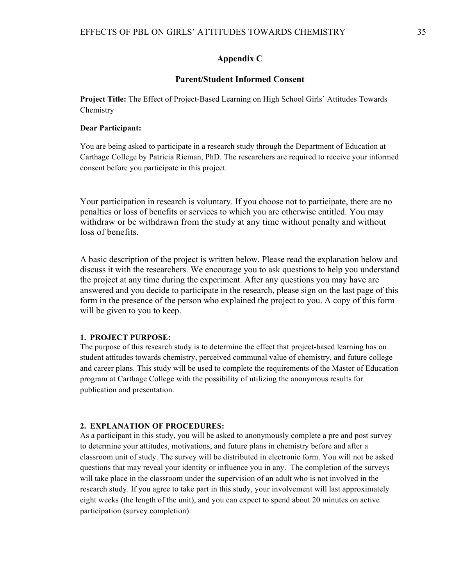#### **Appendix C**

#### **Parent/Student Informed Consent**

**Project Title:** The Effect of Project-Based Learning on High School Girls' Attitudes Towards **Chemistry** 

#### **Dear Participant:**

You are being asked to participate in a research study through the Department of Education at Carthage College by Patricia Rieman, PhD. The researchers are required to receive your informed consent before you participate in this project.

Your participation in research is voluntary. If you choose not to participate, there are no penalties or loss of benefits or services to which you are otherwise entitled. You may withdraw or be withdrawn from the study at any time without penalty and without loss of benefits.

A basic description of the project is written below. Please read the explanation below and discuss it with the researchers. We encourage you to ask questions to help you understand the project at any time during the experiment. After any questions you may have are answered and you decide to participate in the research, please sign on the last page of this form in the presence of the person who explained the project to you. A copy of this form will be given to you to keep.

#### **1. PROJECT PURPOSE:**

The purpose of this research study is to determine the effect that project-based learning has on student attitudes towards chemistry, perceived communal value of chemistry, and future college and career plans. This study will be used to complete the requirements of the Master of Education program at Carthage College with the possibility of utilizing the anonymous results for publication and presentation.

#### **2. EXPLANATION OF PROCEDURES:**

As a participant in this study, you will be asked to anonymously complete a pre and post survey to determine your attitudes, motivations, and future plans in chemistry before and after a classroom unit of study. The survey will be distributed in electronic form. You will not be asked questions that may reveal your identity or influence you in any. The completion of the surveys will take place in the classroom under the supervision of an adult who is not involved in the research study. If you agree to take part in this study, your involvement will last approximately eight weeks (the length of the unit), and you can expect to spend about 20 minutes on active participation (survey completion).